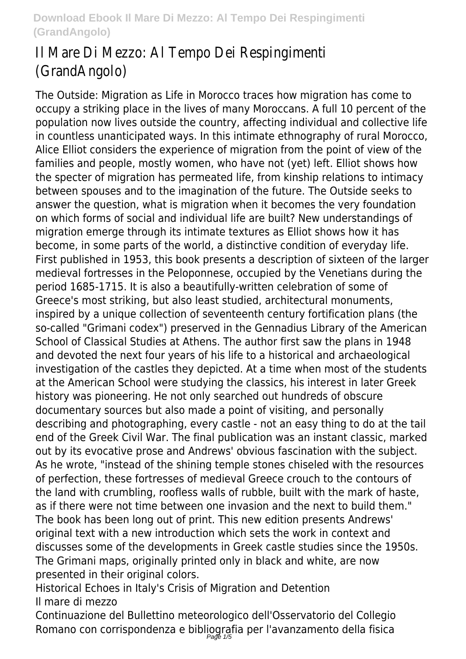# Il Mare Di Mezzo: Al Tempo Dei Respingimenti (GrandAngolo)

The Outside: Migration as Life in Morocco traces how migration has come to occupy a striking place in the lives of many Moroccans. A full 10 percent of the population now lives outside the country, affecting individual and collective life in countless unanticipated ways. In this intimate ethnography of rural Morocco, Alice Elliot considers the experience of migration from the point of view of the families and people, mostly women, who have not (yet) left. Elliot shows how the specter of migration has permeated life, from kinship relations to intimacy between spouses and to the imagination of the future. The Outside seeks to answer the question, what is migration when it becomes the very foundation on which forms of social and individual life are built? New understandings of migration emerge through its intimate textures as Elliot shows how it has become, in some parts of the world, a distinctive condition of everyday life. First published in 1953, this book presents a description of sixteen of the larger medieval fortresses in the Peloponnese, occupied by the Venetians during the period 1685-1715. It is also a beautifully-written celebration of some of Greece's most striking, but also least studied, architectural monuments, inspired by a unique collection of seventeenth century fortification plans (the so-called "Grimani codex") preserved in the Gennadius Library of the American School of Classical Studies at Athens. The author first saw the plans in 1948 and devoted the next four years of his life to a historical and archaeological investigation of the castles they depicted. At a time when most of the students at the American School were studying the classics, his interest in later Greek history was pioneering. He not only searched out hundreds of obscure documentary sources but also made a point of visiting, and personally describing and photographing, every castle - not an easy thing to do at the tail end of the Greek Civil War. The final publication was an instant classic, marked out by its evocative prose and Andrews' obvious fascination with the subject. As he wrote, "instead of the shining temple stones chiseled with the resources of perfection, these fortresses of medieval Greece crouch to the contours of the land with crumbling, roofless walls of rubble, built with the mark of haste, as if there were not time between one invasion and the next to build them." The book has been long out of print. This new edition presents Andrews' original text with a new introduction which sets the work in context and discusses some of the developments in Greek castle studies since the 1950s. The Grimani maps, originally printed only in black and white, are now presented in their original colors.

Historical Echoes in Italy's Crisis of Migration and Detention Il mare di mezzo

Continuazione del Bullettino meteorologico dell'Osservatorio del Collegio Romano con corrispondenza e bibliografia per l'avanzamento della fisica Page  $1/5$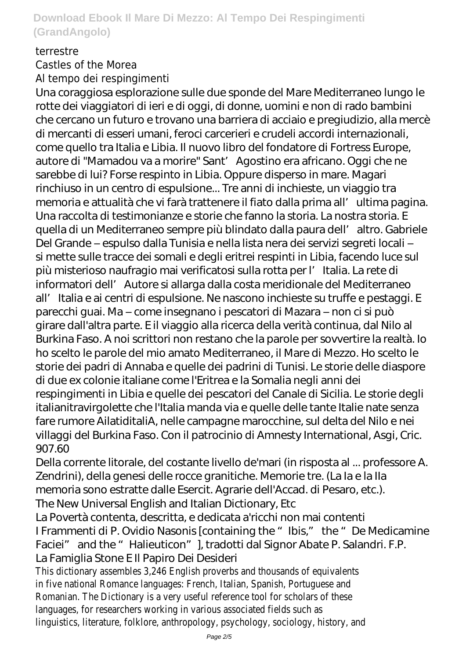#### terrestre

Castles of the Morea Al tempo dei respingimenti

Una coraggiosa esplorazione sulle due sponde del Mare Mediterraneo lungo le rotte dei viaggiatori di ieri e di oggi, di donne, uomini e non di rado bambini che cercano un futuro e trovano una barriera di acciaio e pregiudizio, alla mercè di mercanti di esseri umani, feroci carcerieri e crudeli accordi internazionali, come quello tra Italia e Libia. Il nuovo libro del fondatore di Fortress Europe, autore di "Mamadou va a morire" Sant' Agostino era africano. Oggi che ne sarebbe di lui? Forse respinto in Libia. Oppure disperso in mare. Magari rinchiuso in un centro di espulsione... Tre anni di inchieste, un viaggio tra memoria e attualità che vi farà trattenere il fiato dalla prima all'ultima pagina. Una raccolta di testimonianze e storie che fanno la storia. La nostra storia. E quella di un Mediterraneo sempre più blindato dalla paura dell' altro. Gabriele Del Grande – espulso dalla Tunisia e nella lista nera dei servizi segreti locali – si mette sulle tracce dei somali e degli eritrei respinti in Libia, facendo luce sul più misterioso naufragio mai verificatosi sulla rotta per l'Italia. La rete di informatori dell' Autore si allarga dalla costa meridionale del Mediterraneo all'Italia e ai centri di espulsione. Ne nascono inchieste su truffe e pestaggi. E parecchi guai. Ma – come insegnano i pescatori di Mazara – non ci si può girare dall'altra parte. E il viaggio alla ricerca della verità continua, dal Nilo al Burkina Faso. A noi scrittori non restano che la parole per sovvertire la realtà. Io ho scelto le parole del mio amato Mediterraneo, il Mare di Mezzo. Ho scelto le storie dei padri di Annaba e quelle dei padrini di Tunisi. Le storie delle diaspore di due ex colonie italiane come l'Eritrea e la Somalia negli anni dei respingimenti in Libia e quelle dei pescatori del Canale di Sicilia. Le storie degli italianitravirgolette che l'Italia manda via e quelle delle tante Italie nate senza fare rumore AilatiditaliA, nelle campagne marocchine, sul delta del Nilo e nei villaggi del Burkina Faso. Con il patrocinio di Amnesty International, Asgi, Cric. 907.60

Della corrente litorale, del costante livello de'mari (in risposta al ... professore A. Zendrini), della genesi delle rocce granitiche. Memorie tre. (La Ia e la IIa memoria sono estratte dalle Esercit. Agrarie dell'Accad. di Pesaro, etc.). The New Universal English and Italian Dictionary, Etc

La Povertà contenta, descritta, e dedicata a'ricchi non mai contenti I Frammenti di P. Ovidio Nasonis [containing the "Ibis," the "De Medicamine Faciei" and the "Halieuticon"], tradotti dal Signor Abate P. Salandri. F.P. La Famiglia Stone E Il Papiro Dei Desideri

This dictionary assembles 3,246 English proverbs and thousands of equivalents in five national Romance languages: French, Italian, Spanish, Portuguese and Romanian. The Dictionary is a very useful reference tool for scholars of these languages, for researchers working in various associated fields such as linguistics, literature, folklore, anthropology, psychology, sociology, history, and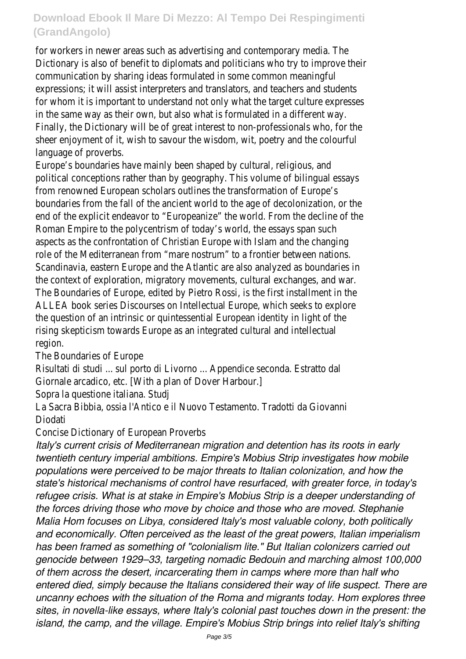for workers in newer areas such as advertising and contemporary media. The Dictionary is also of benefit to diplomats and politicians who try to improve their communication by sharing ideas formulated in some common meaningful expressions; it will assist interpreters and translators, and teachers and students for whom it is important to understand not only what the target culture expresses in the same way as their own, but also what is formulated in a different way. Finally, the Dictionary will be of great interest to non-professionals who, for the sheer enjoyment of it, wish to savour the wisdom, wit, poetry and the colourful language of proverbs.

Europe's boundaries have mainly been shaped by cultural, religious, and political conceptions rather than by geography. This volume of bilingual essays from renowned European scholars outlines the transformation of Europe's boundaries from the fall of the ancient world to the age of decolonization, or the end of the explicit endeavor to "Europeanize" the world. From the decline of the Roman Empire to the polycentrism of today's world, the essays span such aspects as the confrontation of Christian Europe with Islam and the changing role of the Mediterranean from "mare nostrum" to a frontier between nations. Scandinavia, eastern Europe and the Atlantic are also analyzed as boundaries in the context of exploration, migratory movements, cultural exchanges, and war. The Boundaries of Europe, edited by Pietro Rossi, is the first installment in the ALLEA book series Discourses on Intellectual Europe, which seeks to explore the question of an intrinsic or quintessential European identity in light of the rising skepticism towards Europe as an integrated cultural and intellectual region.

The Boundaries of Europe

Risultati di studi ... sul porto di Livorno ... Appendice seconda. Estratto dal

Giornale arcadico, etc. [With a plan of Dover Harbour.]

Sopra la questione italiana. Studj

La Sacra Bibbia, ossia l'Antico e il Nuovo Testamento. Tradotti da Giovanni Diodati

Concise Dictionary of European Proverbs

*Italy's current crisis of Mediterranean migration and detention has its roots in early twentieth century imperial ambitions. Empire's Mobius Strip investigates how mobile populations were perceived to be major threats to Italian colonization, and how the state's historical mechanisms of control have resurfaced, with greater force, in today's refugee crisis. What is at stake in Empire's Mobius Strip is a deeper understanding of the forces driving those who move by choice and those who are moved. Stephanie Malia Hom focuses on Libya, considered Italy's most valuable colony, both politically and economically. Often perceived as the least of the great powers, Italian imperialism has been framed as something of "colonialism lite." But Italian colonizers carried out genocide between 1929–33, targeting nomadic Bedouin and marching almost 100,000 of them across the desert, incarcerating them in camps where more than half who entered died, simply because the Italians considered their way of life suspect. There are uncanny echoes with the situation of the Roma and migrants today. Hom explores three sites, in novella-like essays, where Italy's colonial past touches down in the present: the island, the camp, and the village. Empire's Mobius Strip brings into relief Italy's shifting*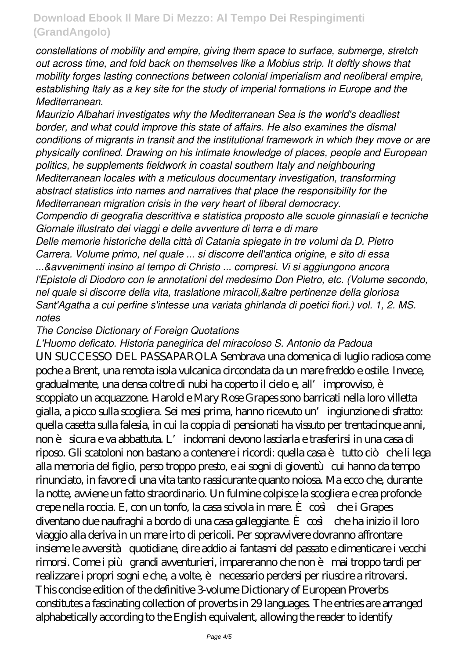*constellations of mobility and empire, giving them space to surface, submerge, stretch out across time, and fold back on themselves like a Mobius strip. It deftly shows that mobility forges lasting connections between colonial imperialism and neoliberal empire, establishing Italy as a key site for the study of imperial formations in Europe and the Mediterranean.*

*Maurizio Albahari investigates why the Mediterranean Sea is the world's deadliest border, and what could improve this state of affairs. He also examines the dismal conditions of migrants in transit and the institutional framework in which they move or are physically confined. Drawing on his intimate knowledge of places, people and European politics, he supplements fieldwork in coastal southern Italy and neighbouring Mediterranean locales with a meticulous documentary investigation, transforming abstract statistics into names and narratives that place the responsibility for the Mediterranean migration crisis in the very heart of liberal democracy. Compendio di geografia descrittiva e statistica proposto alle scuole ginnasiali e tecniche*

*Giornale illustrato dei viaggi e delle avventure di terra e di mare*

*Delle memorie historiche della città di Catania spiegate in tre volumi da D. Pietro Carrera. Volume primo, nel quale ... si discorre dell'antica origine, e sito di essa ...&avvenimenti insino al tempo di Christo ... compresi. Vi si aggiungono ancora l'Epistole di Diodoro con le annotationi del medesimo Don Pietro, etc. (Volume secondo, nel quale si discorre della vita, traslatione miracoli,&altre pertinenze della gloriosa Sant'Agatha a cui perfine s'intesse una variata ghirlanda di poetici fiori.) vol. 1, 2. MS. notes*

#### *The Concise Dictionary of Foreign Quotations*

*L'Huomo deficato. Historia panegirica del miracoloso S. Antonio da Padoua* UN SUCCESSO DEL PASSAPAROLA Sembrava una domenica di luglio radiosa come poche a Brent, una remota isola vulcanica circondata da un mare freddo e ostile. Invece, gradualmente, una densa coltre di nubi ha coperto il cielo e, all'improvviso, è scoppiato un acquazzone. Harold e Mary Rose Grapes sono barricati nella loro villetta gialla, a picco sulla scogliera. Sei mesi prima, hanno ricevuto un'ingiunzione di sfratto: quella casetta sulla falesia, in cui la coppia di pensionati ha vissuto per trentacinque anni, non è sicura e va abbattuta. L'indomani devono lasciarla e trasferirsi in una casa di riposo. Gli scatoloni non bastano a contenere i ricordi: quella casa è tutto ciò che li lega alla memoria del figlio, perso troppo presto, e ai sogni di gioventù cui hanno da tempo rinunciato, in favore di una vita tanto rassicurante quanto noiosa. Ma ecco che, durante la notte, avviene un fatto straordinario. Un fulmine colpisce la scogliera e crea profonde crepe nella roccia. E, con un tonfo, la casa scivola in mare. È così che i Grapes diventano due naufraghi a bordo di una casa galleggiante. È così che ha inizio il loro viaggio alla deriva in un mare irto di pericoli. Per sopravvivere dovranno affrontare insieme le avversità quotidiane, dire addio ai fantasmi del passato e dimenticare i vecchi rimorsi. Come i più grandi avventurieri, impareranno che non è mai troppo tardi per realizzare i propri sogni e che, a volte, è necessario perdersi per riuscire a ritrovarsi. This concise edition of the definitive 3-volume Dictionary of European Proverbs constitutes a fascinating collection of proverbs in 29 languages. The entries are arranged alphabetically according to the English equivalent, allowing the reader to identify